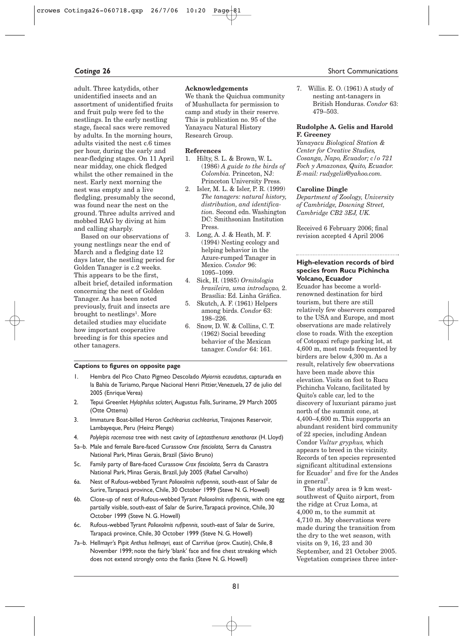adult. Three katydids, other unidentified insects and an assortment of unidentified fruits and fruit pulp were fed to the nestlings. In the early nestling stage, faecal sacs were removed by adults. In the morning hours, adults visited the nest c.6 times per hour, during the early and near-fledging stages. On 11 April near midday, one chick fledged whilst the other remained in the nest. Early next morning the nest was empty and a live fledgling, presumably the second, was found near the nest on the ground. Three adults arrived and mobbed RAG by diving at him and calling sharply.

Based on our observations of young nestlings near the end of March and a fledging date 12 days later, the nestling period for Golden Tanager is c.2 weeks. This appears to be the first, albeit brief, detailed information concerning the nest of Golden Tanager. As has been noted previously, fruit and insects are brought to nestlings<sup>1</sup>. More detailed studies may elucidate how important cooperative breeding is for this species and other tanagers.

## **Acknowledgements**

We thank the Quichua community of Mushullacta for permission to camp and study in their reserve. This is publication no. 95 of the Yanayacu Natural History Research Group.

#### **References**

- 1. Hilty, S. L. & Brown, W. L. (1986) *A guide to the birds of Colombia.* Princeton, NJ: Princeton University Press.
- 2. Isler, M. L. & Isler, P. R. (1999) *The tanagers: natural history, distribution, and identification.* Second edn. Washington DC: Smithsonian Institution Press.
- 3. Long, A. J. & Heath, M. F. (1994) Nesting ecology and helping behavior in the Azure-rumped Tanager in Mexico. *Condor* 96: 1095–1099.
- 4. Sick, H. (1985) *Ornitologia brasileira, uma introduçao,* 2. Brasília: Ed. Linha Gráfica.
- 5. Skutch, A. F. (1961) Helpers among birds. *Condor* 63: 198–226.
- 6. Snow, D. W. & Collins, C. T. (1962) Social breeding behavior of the Mexican tanager. *Condor* 64: 161.

#### **Captions to figures on opposite page**

- 1. Hembra del Pico Chato Pigmeo Descolado *Myiornis ecaudatus*, capturada en la Bahía de Turiamo, Parque Nacional Henri Pittier, Venezuela, 27 de julio del 2005 (Enrique Verea)
- 2. Tepui Greenlet *Hylophilus sclateri,* Augustus Falls, Suriname, 29 March 2005 (Otte Ottema)
- 3. Immature Boat-billed Heron *Cochlearius cochlearius,* Tinajones Reservoir, Lambayeque, Peru (Heinz Plenge)
- 4. *Polylepis racemosa* tree with nest cavity of *Leptasthenura xenothorax* (H. Lloyd)
- 5a–b. Male and female Bare-faced Curassow *Crax fasciolata,* Serra da Canastra National Park, Minas Gerais, Brazil (Sávio Bruno)
- 5c. Family party of Bare-faced Curassow *Crax fasciolata,* Serra da Canastra National Park, Minas Gerais, Brazil, July 2005 (Rafael Carvalho)
- 6a. Nest of Rufous-webbed Tyrant *Polioxolmis rufipennis,* south-east of Salar de Surire,Tarapacá province, Chile, 30 October 1999 (Steve N. G. Howell)
- 6b. Close-up of nest of Rufous-webbed Tyrant *Polioxolmis rufipennis,* with one egg partially visible, south-east of Salar de Surire,Tarapacá province, Chile, 30 October 1999 (Steve N. G. Howell)
- 6c. Rufous-webbed Tyrant *Polioxolmis rufipennis,* south-east of Salar de Surire, Tarapacá province, Chile, 30 October 1999 (Steve N. G. Howell)
- 7a–b. Hellmayr's Pipit *Anthus hellmayri,* east of Carriñue (prov. Cautín), Chile, 8 November 1999; note the fairly 'blank' face and fine chest streaking which does not extend strongly onto the flanks (Steve N. G. Howell)

# **Cotinga 26** Short Communications

7. Willis. E. O. (1961) A study of nesting ant-tanagers in British Honduras. *Condor* 63: 479–503.

# **Rudolphe A. Gelis and Harold F. Greeney**

*Yanayacu Biological Station & Center for Creative Studies, Cosanga, Napo, Ecuador; c/o 721 Foch y Amazonas, Quito, Ecuador. E-mail: rudygelis@yahoo.com.*

#### **Caroline Dingle**

*Department of Zoology, University of Cambridge, Downing Street, Cambridge CB2 3EJ, UK.*

Received 6 February 2006; final revision accepted 4 April 2006

# **High-elevation records of bird species from Rucu Pichincha Volcano, Ecuador**

Ecuador has become a worldrenowned destination for bird tourism, but there are still relatively few observers compared to the USA and Europe, and most observations are made relatively close to roads. With the exception of Cotopaxi refuge parking lot, at 4,600 m, most roads frequented by birders are below 4,300 m. As a result, relatively few observations have been made above this elevation. Visits on foot to Rucu Pichincha Volcano, facilitated by Quito's cable car, led to the discovery of luxuriant páramo just north of the summit cone, at 4,400–4,600 m. This supports an abundant resident bird community of 22 species, including Andean Condor *Vultur gryphus,* which appears to breed in the vicinity. Records of ten species represented significant altitudinal extensions for Ecuador<sup>7</sup> and five for the Andes in general<sup>2</sup>.

The study area is 9 km westsouthwest of Quito airport, from the ridge at Cruz Loma, at 4,000 m, to the summit at 4,710 m. My observations were made during the transition from the dry to the wet season, with visits on 9, 16, 23 and 30 September, and 21 October 2005. Vegetation comprises three inter-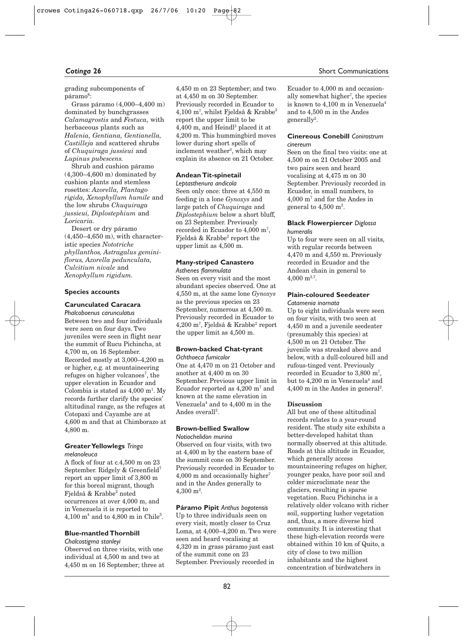grading subcomponents of páramo<sup>6</sup>:

Grass páramo (4,000–4,400 m) dominated by bunchgrasses *Calamagrostis* and *Festuca,* with herbaceous plants such as *Halenia, Gentiana, Gentianella, Castilleja* and scattered shrubs of *Chuquiraga jussieui* and *Lupinus pubescens.*

Shrub and cushion páramo (4,300–4,600 m) dominated by cushion plants and stemless rosettes: *Azorella, Plantago rigida, Xenophyllum humile* and the low shrubs *Chuquiraga jussieui, Diplostephium* and *Loricaria.*

Desert or dry páramo (4,450–4,650 m), with characteristic species *Nototriche phyllanthos, Astragalus geminiflorus, Azorella pedunculata, Culcitium nivale* and *Xenophyllum rigidum.*

## **Species accounts**

# **Carunculated Caracara**

*Phalcoboenus carunculatus* Between two and four individuals were seen on four days. Two juveniles were seen in flight near the summit of Rucu Pichincha, at 4,700 m, on 16 September. Recorded mostly at 3,000–4,200 m or higher, e.g. at mountaineering refuges on higher volcanoes<sup>7</sup>, the upper elevation in Ecuador and Colombia is stated as  $4,000 \text{ m}^1$ . My records further clarify the species' altitudinal range, as the refuges at Cotopaxi and Cayambe are at 4,600 m and that at Chimborazo at 4,800 m.

# **Greater Yellowlegs** *Tringa melanoleuca*

A flock of four at c.4,500 m on 23 September. Ridgely & Greenfield<sup>7</sup> report an upper limit of 3,800 m for this boreal migrant, though Fjeldså & Krabbe<sup>2</sup> noted occurrences at over 4,000 m, and in Venezuela it is reported to  $4,100 \text{ m}^4$  and to  $4,800 \text{ m}$  in Chile<sup>5</sup>.

# **Blue-mantled Thornbill**

*Chalcostigma stanleyi* Observed on three visits, with one individual at 4,500 m and two at 4,450 m on 16 September; three at 4,450 m on 23 September; and two at 4,450 m on 30 September. Previously recorded in Ecuador to 4,100 m7 , whilst Fjeldså & Krabbe<sup>2</sup> report the upper limit to be 4,400 m, and Heindl<sup>3</sup> placed it at 4,200 m. This hummingbird moves lower during short spells of inclement weather<sup>3</sup>, which may explain its absence on 21 October.

## **Andean Tit-spinetail**

*Leptasthenura andicola* Seen only once: three at 4,550 m feeding in a lone *Gynoxys* and large patch of *Chuquiraga* and *Diplostephium* below a short bluff, on 23 September. Previously recorded in Ecuador to 4,000 m7 , Fjeldså & Krabbe2 report the upper limit as 4,500 m.

# **Many-striped Canastero** *Asthenes flammulata*

Seen on every visit and the most abundant species observed. One at 4,550 m, at the same lone *Gynoxys* as the previous species on 23 September, numerous at 4,500 m. Previously recorded in Ecuador to 4,200 m7 , Fjeldså & Krabbe2 report the upper limit as 4,500 m.

## **Brown-backed Chat-tyrant** *Ochthoeca fumicolor*

One at 4,470 m on 21 October and another at 4,400 m on 30 September. Previous upper limit in Ecuador reported as  $4,200 \text{ m}^7$  and known at the same elevation in Venezuela<sup>4</sup> and to  $4.400$  m in the Andes overall<sup>2</sup>.

#### **Brown-bellied Swallow** *Notiochelidon murina*

Observed on four visits, with two at 4,400 m by the eastern base of the summit cone on 30 September. Previously recorded in Ecuador to  $4,000$  m and occasionally higher<sup>7</sup> and in the Andes generally to  $4,\!300~\mathrm{m}^2.$ 

**Páramo Pipit** *Anthus bogotensis* Up to three individuals seen on every visit, mostly closer to Cruz Loma, at 4,000–4,200 m. Two were seen and heard vocalising at 4,320 m in grass páramo just east of the summit cone on 23 September. Previously recorded in

#### **Cotinga 26** Short Communications

Ecuador to 4,000 m and occasionally somewhat higher7 , the species is known to  $4.100$  m in Venezuela<sup>4</sup> and to 4,500 m in the Andes generally<sup>2</sup>.

### **Cinereous Conebill** *Conirostrum cinereum*

Seen on the final two visits: one at 4,500 m on 21 October 2005 and two pairs seen and heard vocalising at 4,475 m on 30 September. Previously recorded in Ecuador, in small numbers, to 4,000 m7 and for the Andes in general to  $4,\!500$  m $^2$ .

#### **Black Flowerpiercer** *Diglossa humeralis*

Up to four were seen on all visits, with regular records between 4,470 m and 4,550 m. Previously recorded in Ecuador and the Andean chain in general to 4,000  $m^{2,7}$ .

## **Plain-coloured Seedeater** *Catamenia inornata*

Up to eight individuals were seen on four visits, with two seen at 4,450 m and a juvenile seedeater (presumably this species) at 4,500 m on 21 October. The juvenile was streaked above and below, with a dull-coloured bill and rufous-tinged vent. Previously recorded in Ecuador to 3,800 m7 , but to 4,200 m in Venezuela<sup>4</sup> and  $4,400$  m in the Andes in general<sup>2</sup>.

# **Discussion**

All but one of these altitudinal records relates to a year-round resident. The study site exhibits a better-developed habitat than normally observed at this altitude. Roads at this altitude in Ecuador, which generally access mountaineering refuges on higher, younger peaks, have poor soil and colder microclimate near the glaciers, resulting in sparse vegetation. Rucu Pichincha is a relatively older volcano with richer soil, supporting lusher vegetation and, thus, a more diverse bird community. It is interesting that these high-elevation records were obtained within 10 km of Quito, a city of close to two million inhabitants and the highest concentration of birdwatchers in